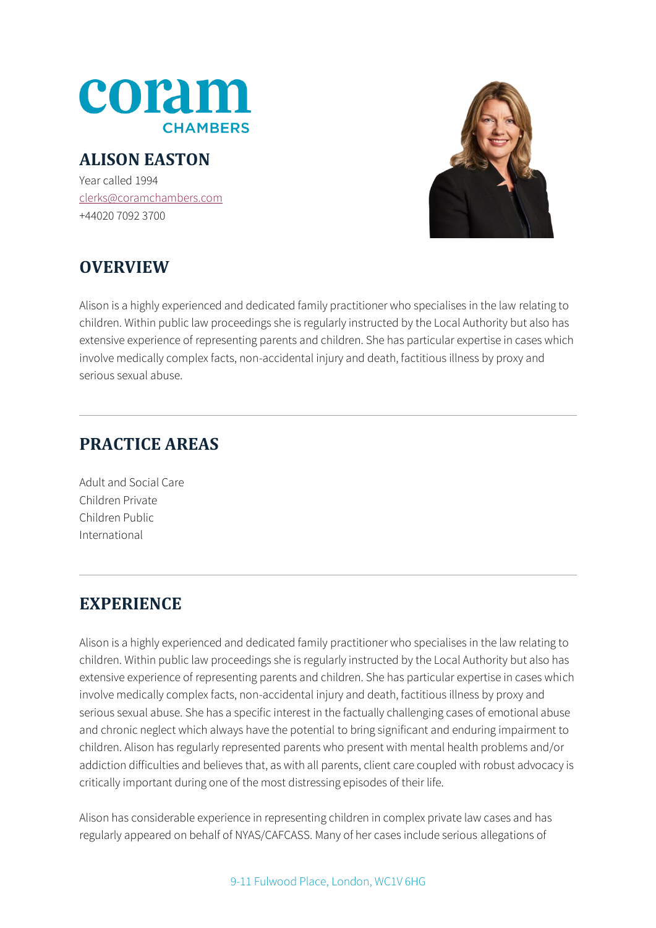

#### **ALISON EASTON**

Year called 1994 [clerks@coramchambers.com](mailto:clerks@coramchambers.com) +44020 7092 3700



# **OVERVIEW**

Alison is a highly experienced and dedicated family practitioner who specialises in the law relating to children. Within public law proceedings she is regularly instructed by the Local Authority but also has extensive experience of representing parents and children. She has particular expertise in cases which involve medically complex facts, non-accidental injury and death, factitious illness by proxy and serious sexual abuse.

## **PRACTICE AREAS**

Adult and Social Care Children Private Children Public International

## **EXPERIENCE**

Alison is a highly experienced and dedicated family practitioner who specialises in the law relating to children. Within public law proceedings she is regularly instructed by the Local Authority but also has extensive experience of representing parents and children. She has particular expertise in cases which involve medically complex facts, non-accidental injury and death, factitious illness by proxy and serious sexual abuse. She has a specific interest in the factually challenging cases of emotional abuse and chronic neglect which always have the potential to bring significant and enduring impairment to children. Alison has regularly represented parents who present with mental health problems and/or addiction difficulties and believes that, as with all parents, client care coupled with robust advocacy is critically important during one of the most distressing episodes of their life.

Alison has considerable experience in representing children in complex private law cases and has regularly appeared on behalf of NYAS/CAFCASS. Many of her cases include serious allegations of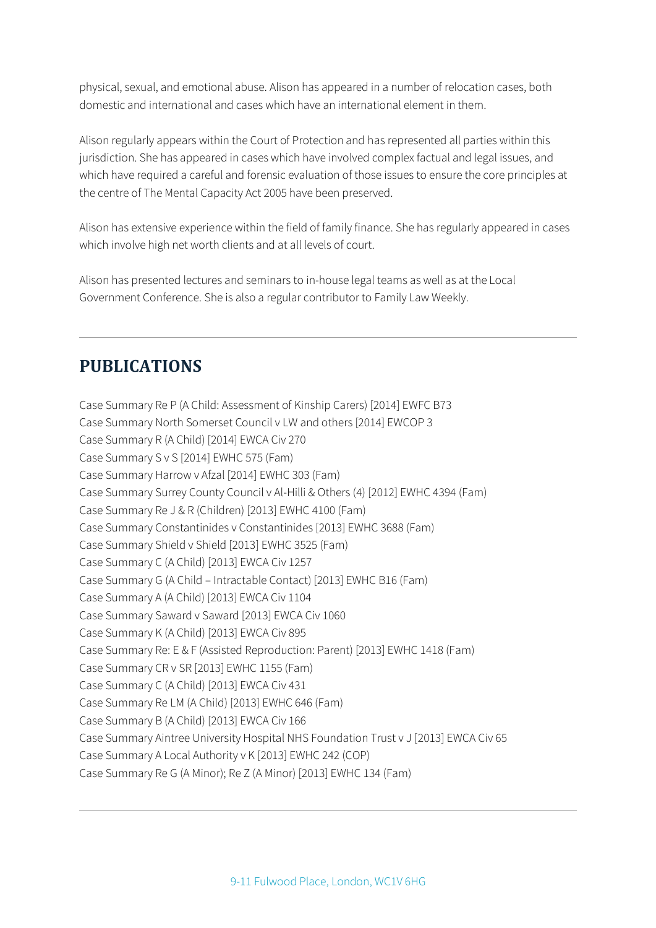physical, sexual, and emotional abuse. Alison has appeared in a number of relocation cases, both domestic and international and cases which have an international element in them.

Alison regularly appears within the Court of Protection and has represented all parties within this jurisdiction. She has appeared in cases which have involved complex factual and legal issues, and which have required a careful and forensic evaluation of those issues to ensure the core principles at the centre of The Mental Capacity Act 2005 have been preserved.

Alison has extensive experience within the field of family finance. She has regularly appeared in cases which involve high net worth clients and at all levels of court.

Alison has presented lectures and seminars to in-house legal teams as well as at the Local Government Conference. She is also a regular contributor to Family Law Weekly.

#### **PUBLICATIONS**

Case Summary Re P (A Child: Assessment of Kinship Carers) [2014] EWFC B73 Case Summary North Somerset Council v LW and others [2014] EWCOP 3 Case Summary R (A Child) [2014] EWCA Civ 270 Case Summary S v S [2014] EWHC 575 (Fam) Case Summary Harrow v Afzal [2014] EWHC 303 (Fam) Case Summary Surrey County Council v Al-Hilli & Others (4) [2012] EWHC 4394 (Fam) Case Summary Re J & R (Children) [2013] EWHC 4100 (Fam) Case Summary Constantinides v Constantinides [2013] EWHC 3688 (Fam) Case Summary Shield v Shield [2013] EWHC 3525 (Fam) Case Summary C (A Child) [2013] EWCA Civ 1257 Case Summary G (A Child – Intractable Contact) [2013] EWHC B16 (Fam) Case Summary A (A Child) [2013] EWCA Civ 1104 Case Summary Saward v Saward [2013] EWCA Civ 1060 Case Summary K (A Child) [2013] EWCA Civ 895 Case Summary Re: E & F (Assisted Reproduction: Parent) [2013] EWHC 1418 (Fam) Case Summary CR v SR [2013] EWHC 1155 (Fam) Case Summary C (A Child) [2013] EWCA Civ 431 Case Summary Re LM (A Child) [2013] EWHC 646 (Fam) Case Summary B (A Child) [2013] EWCA Civ 166 Case Summary Aintree University Hospital NHS Foundation Trust v J [2013] EWCA Civ 65 Case Summary A Local Authority v K [2013] EWHC 242 (COP) Case Summary Re G (A Minor); Re Z (A Minor) [2013] EWHC 134 (Fam)